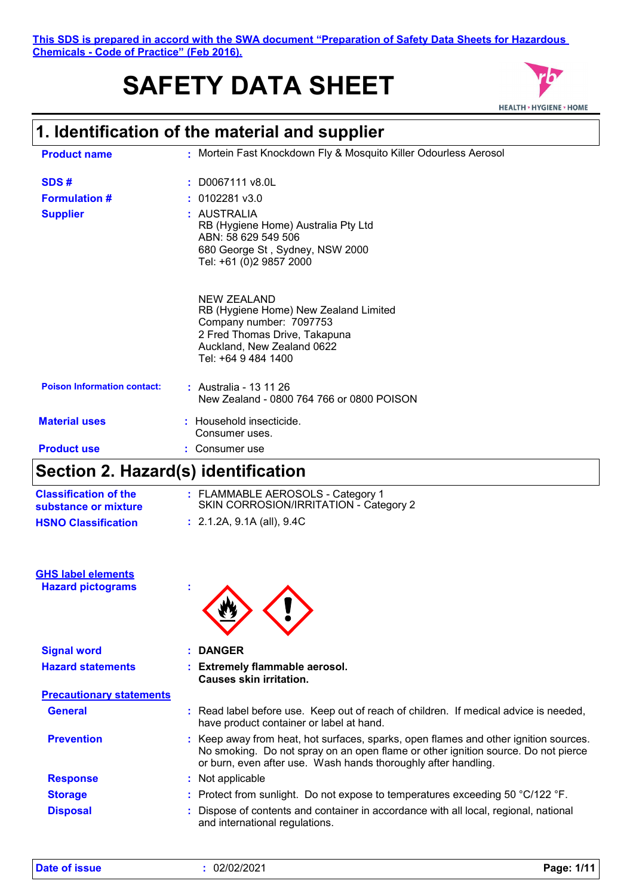**This SDS is prepared in accord with the SWA document "Preparation of Safety Data Sheets for Hazardous Chemicals - Code of Practice" (Feb 2016).**

# **SAFETY DATA SHEET**



### **1. Identification of the material and supplier**

| <b>Product name</b>                | : Mortein Fast Knockdown Fly & Mosquito Killer Odourless Aerosol                                                                                                      |
|------------------------------------|-----------------------------------------------------------------------------------------------------------------------------------------------------------------------|
| SDS#                               | $:$ D0067111 v8.0L                                                                                                                                                    |
| <b>Formulation #</b>               | $: 0102281$ v3.0                                                                                                                                                      |
| <b>Supplier</b>                    | : AUSTRALIA<br>RB (Hygiene Home) Australia Pty Ltd<br>ABN: 58 629 549 506<br>680 George St, Sydney, NSW 2000<br>Tel: +61 (0)2 9857 2000                               |
|                                    | NEW ZEALAND<br>RB (Hygiene Home) New Zealand Limited<br>Company number: 7097753<br>2 Fred Thomas Drive, Takapuna<br>Auckland, New Zealand 0622<br>Tel: +64 9 484 1400 |
| <b>Poison Information contact:</b> | : Australia - 13 11 26<br>New Zealand - 0800 764 766 or 0800 POISON                                                                                                   |
| <b>Material uses</b>               | $:$ Household insecticide.<br>Consumer uses.                                                                                                                          |
| <b>Product use</b>                 | Consumer use                                                                                                                                                          |
|                                    |                                                                                                                                                                       |

### **Section 2. Hazard(s) identification**

| <b>Classification of the</b> | : FLAMMABLE AEROSOLS - Category 1      |
|------------------------------|----------------------------------------|
| substance or mixture         | SKIN CORROSION/IRRITATION - Category 2 |
| <b>HSNO Classification</b>   | : 2.1.2A, 9.1A (all), 9.4C             |

| <b>GHS label elements</b> |  |
|---------------------------|--|
| <b>Hazard pictograms</b>  |  |



| <b>Signal word</b>              | : DANGER                                                                                                                                                                                                                                    |
|---------------------------------|---------------------------------------------------------------------------------------------------------------------------------------------------------------------------------------------------------------------------------------------|
| <b>Hazard statements</b>        | : Extremely flammable aerosol.<br>Causes skin irritation.                                                                                                                                                                                   |
| <b>Precautionary statements</b> |                                                                                                                                                                                                                                             |
| <b>General</b>                  | : Read label before use. Keep out of reach of children. If medical advice is needed,<br>have product container or label at hand.                                                                                                            |
| <b>Prevention</b>               | : Keep away from heat, hot surfaces, sparks, open flames and other ignition sources.<br>No smoking. Do not spray on an open flame or other ignition source. Do not pierce<br>or burn, even after use. Wash hands thoroughly after handling. |
| <b>Response</b>                 | : Not applicable                                                                                                                                                                                                                            |
| <b>Storage</b>                  | : Protect from sunlight. Do not expose to temperatures exceeding $50 \degree C/122 \degree F$ .                                                                                                                                             |
| <b>Disposal</b>                 | Dispose of contents and container in accordance with all local, regional, national<br>and international regulations.                                                                                                                        |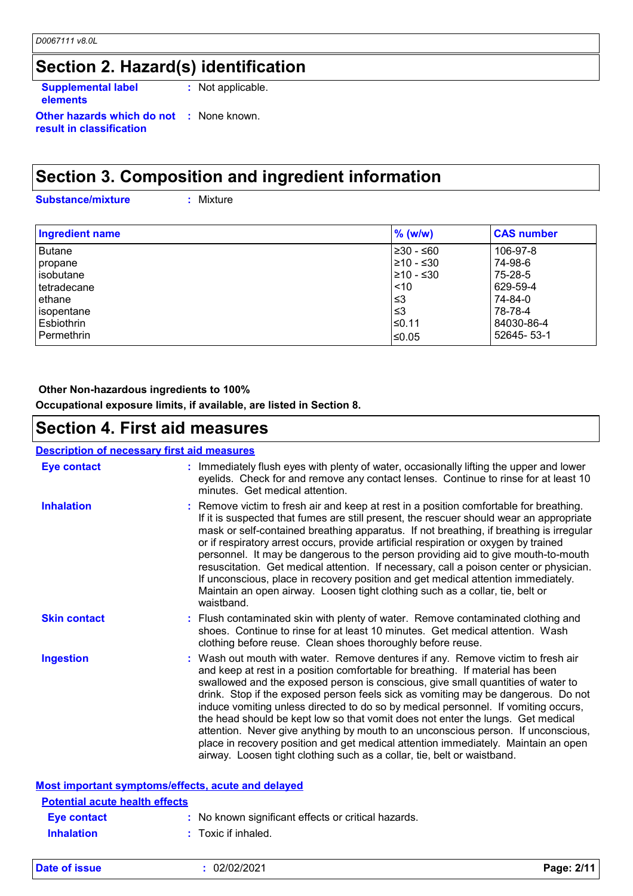### **Section 2. Hazard(s) identification**

**Supplemental label elements :** Not applicable.

**Other hazards which do not :** None known. **result in classification**

### **Section 3. Composition and ingredient information**

**Substance/mixture :**

: Mixture

| <b>Ingredient name</b> | $%$ (w/w)  | <b>CAS number</b> |
|------------------------|------------|-------------------|
| <b>Butane</b>          | l≥30 - ≤60 | 106-97-8          |
| propane                | l≥10 - ≤30 | 74-98-6           |
| l isobutane            | l≥10 - ≤30 | 75-28-5           |
| tetradecane            | < 10       | 629-59-4          |
| ethane                 | ≤3         | 74-84-0           |
| isopentane             | ≤3         | 78-78-4           |
| Esbiothrin             | l≤0.11     | 84030-86-4        |
| Permethrin             | l≤0.05     | 52645-53-1        |

#### **Other Non-hazardous ingredients to 100%**

**Occupational exposure limits, if available, are listed in Section 8.**

### **Section 4. First aid measures**

| <b>Description of necessary first aid measures</b> |                                                                                                                                                                                                                                                                                                                                                                                                                                                                                                                                                                                                                                                                                                                                                                         |
|----------------------------------------------------|-------------------------------------------------------------------------------------------------------------------------------------------------------------------------------------------------------------------------------------------------------------------------------------------------------------------------------------------------------------------------------------------------------------------------------------------------------------------------------------------------------------------------------------------------------------------------------------------------------------------------------------------------------------------------------------------------------------------------------------------------------------------------|
| <b>Eye contact</b>                                 | : Immediately flush eyes with plenty of water, occasionally lifting the upper and lower<br>eyelids. Check for and remove any contact lenses. Continue to rinse for at least 10<br>minutes. Get medical attention.                                                                                                                                                                                                                                                                                                                                                                                                                                                                                                                                                       |
| <b>Inhalation</b>                                  | : Remove victim to fresh air and keep at rest in a position comfortable for breathing.<br>If it is suspected that fumes are still present, the rescuer should wear an appropriate<br>mask or self-contained breathing apparatus. If not breathing, if breathing is irregular<br>or if respiratory arrest occurs, provide artificial respiration or oxygen by trained<br>personnel. It may be dangerous to the person providing aid to give mouth-to-mouth<br>resuscitation. Get medical attention. If necessary, call a poison center or physician.<br>If unconscious, place in recovery position and get medical attention immediately.<br>Maintain an open airway. Loosen tight clothing such as a collar, tie, belt or<br>waistband.                                 |
| <b>Skin contact</b>                                | : Flush contaminated skin with plenty of water. Remove contaminated clothing and<br>shoes. Continue to rinse for at least 10 minutes. Get medical attention. Wash<br>clothing before reuse. Clean shoes thoroughly before reuse.                                                                                                                                                                                                                                                                                                                                                                                                                                                                                                                                        |
| <b>Ingestion</b>                                   | Wash out mouth with water. Remove dentures if any. Remove victim to fresh air<br>and keep at rest in a position comfortable for breathing. If material has been<br>swallowed and the exposed person is conscious, give small quantities of water to<br>drink. Stop if the exposed person feels sick as vomiting may be dangerous. Do not<br>induce vomiting unless directed to do so by medical personnel. If vomiting occurs,<br>the head should be kept low so that vomit does not enter the lungs. Get medical<br>attention. Never give anything by mouth to an unconscious person. If unconscious,<br>place in recovery position and get medical attention immediately. Maintain an open<br>airway. Loosen tight clothing such as a collar, tie, belt or waistband. |
|                                                    | Most important symptoms/effects, acute and delayed                                                                                                                                                                                                                                                                                                                                                                                                                                                                                                                                                                                                                                                                                                                      |
| <b>Potential acute health effects</b>              |                                                                                                                                                                                                                                                                                                                                                                                                                                                                                                                                                                                                                                                                                                                                                                         |
| <b>Eye contact</b>                                 | : No known significant effects or critical hazards.                                                                                                                                                                                                                                                                                                                                                                                                                                                                                                                                                                                                                                                                                                                     |
| <b>Inhalation</b>                                  | : Toxic if inhaled.                                                                                                                                                                                                                                                                                                                                                                                                                                                                                                                                                                                                                                                                                                                                                     |

| Date of issue | 02/02/2021 | Page: 2/11 |
|---------------|------------|------------|
|               |            |            |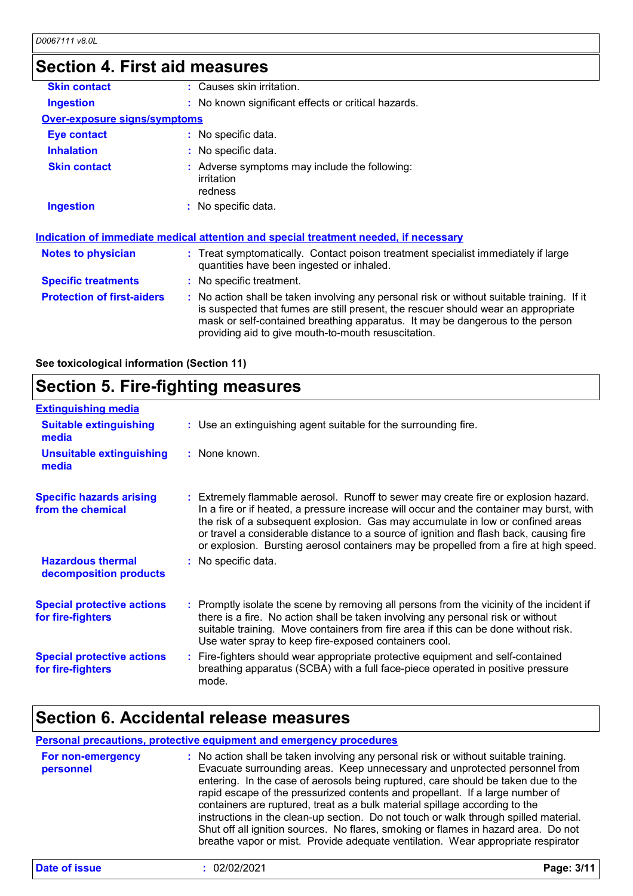### **Section 4. First aid measures**

| : Causes skin irritation.                                                                                                                                                                                                                                                                                               |
|-------------------------------------------------------------------------------------------------------------------------------------------------------------------------------------------------------------------------------------------------------------------------------------------------------------------------|
| : No known significant effects or critical hazards.                                                                                                                                                                                                                                                                     |
| <b>Over-exposure signs/symptoms</b>                                                                                                                                                                                                                                                                                     |
| : No specific data.                                                                                                                                                                                                                                                                                                     |
| : No specific data.                                                                                                                                                                                                                                                                                                     |
| : Adverse symptoms may include the following:<br>irritation<br>redness                                                                                                                                                                                                                                                  |
| : No specific data.                                                                                                                                                                                                                                                                                                     |
| <u>Indication of immediate medical attention and special treatment needed, if necessary</u>                                                                                                                                                                                                                             |
| : Treat symptomatically. Contact poison treatment specialist immediately if large<br>quantities have been ingested or inhaled.                                                                                                                                                                                          |
| : No specific treatment.                                                                                                                                                                                                                                                                                                |
| : No action shall be taken involving any personal risk or without suitable training. If it<br>is suspected that fumes are still present, the rescuer should wear an appropriate<br>mask or self-contained breathing apparatus. It may be dangerous to the person<br>providing aid to give mouth-to-mouth resuscitation. |
|                                                                                                                                                                                                                                                                                                                         |

**See toxicological information (Section 11)**

### **Section 5. Fire-fighting measures**

| <b>Extinguishing media</b>                             |                                                                                                                                                                                                                                                                                                                                                                                                                                                       |
|--------------------------------------------------------|-------------------------------------------------------------------------------------------------------------------------------------------------------------------------------------------------------------------------------------------------------------------------------------------------------------------------------------------------------------------------------------------------------------------------------------------------------|
| <b>Suitable extinguishing</b><br>media                 | : Use an extinguishing agent suitable for the surrounding fire.                                                                                                                                                                                                                                                                                                                                                                                       |
| <b>Unsuitable extinguishing</b><br>media               | : None known.                                                                                                                                                                                                                                                                                                                                                                                                                                         |
| <b>Specific hazards arising</b><br>from the chemical   | : Extremely flammable aerosol. Runoff to sewer may create fire or explosion hazard.<br>In a fire or if heated, a pressure increase will occur and the container may burst, with<br>the risk of a subsequent explosion. Gas may accumulate in low or confined areas<br>or travel a considerable distance to a source of ignition and flash back, causing fire<br>or explosion. Bursting aerosol containers may be propelled from a fire at high speed. |
| <b>Hazardous thermal</b><br>decomposition products     | : No specific data.                                                                                                                                                                                                                                                                                                                                                                                                                                   |
| <b>Special protective actions</b><br>for fire-fighters | : Promptly isolate the scene by removing all persons from the vicinity of the incident if<br>there is a fire. No action shall be taken involving any personal risk or without<br>suitable training. Move containers from fire area if this can be done without risk.<br>Use water spray to keep fire-exposed containers cool.                                                                                                                         |
| <b>Special protective actions</b><br>for fire-fighters | : Fire-fighters should wear appropriate protective equipment and self-contained<br>breathing apparatus (SCBA) with a full face-piece operated in positive pressure<br>mode.                                                                                                                                                                                                                                                                           |

### **Section 6. Accidental release measures**

#### **Personal precautions, protective equipment and emergency procedures**

| For non-emergency<br>personnel | : No action shall be taken involving any personal risk or without suitable training.<br>Evacuate surrounding areas. Keep unnecessary and unprotected personnel from<br>entering. In the case of aerosols being ruptured, care should be taken due to the<br>rapid escape of the pressurized contents and propellant. If a large number of<br>containers are ruptured, treat as a bulk material spillage according to the<br>instructions in the clean-up section. Do not touch or walk through spilled material.<br>Shut off all ignition sources. No flares, smoking or flames in hazard area. Do not<br>breathe vapor or mist. Provide adequate ventilation. Wear appropriate respirator |
|--------------------------------|--------------------------------------------------------------------------------------------------------------------------------------------------------------------------------------------------------------------------------------------------------------------------------------------------------------------------------------------------------------------------------------------------------------------------------------------------------------------------------------------------------------------------------------------------------------------------------------------------------------------------------------------------------------------------------------------|
|                                |                                                                                                                                                                                                                                                                                                                                                                                                                                                                                                                                                                                                                                                                                            |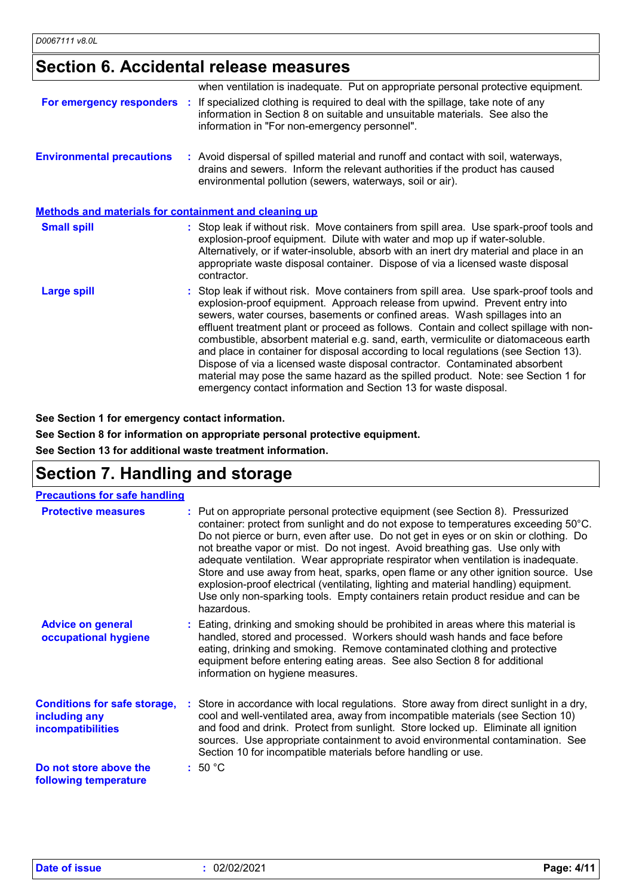### **Section 6. Accidental release measures**

|                                                              | when ventilation is inadequate. Put on appropriate personal protective equipment.                                                                                                                                                                                                                                                                                                                                                                                                                                                                                                                                                                                                                                                                                     |
|--------------------------------------------------------------|-----------------------------------------------------------------------------------------------------------------------------------------------------------------------------------------------------------------------------------------------------------------------------------------------------------------------------------------------------------------------------------------------------------------------------------------------------------------------------------------------------------------------------------------------------------------------------------------------------------------------------------------------------------------------------------------------------------------------------------------------------------------------|
|                                                              | For emergency responders : If specialized clothing is required to deal with the spillage, take note of any<br>information in Section 8 on suitable and unsuitable materials. See also the<br>information in "For non-emergency personnel".                                                                                                                                                                                                                                                                                                                                                                                                                                                                                                                            |
| <b>Environmental precautions</b>                             | : Avoid dispersal of spilled material and runoff and contact with soil, waterways,<br>drains and sewers. Inform the relevant authorities if the product has caused<br>environmental pollution (sewers, waterways, soil or air).                                                                                                                                                                                                                                                                                                                                                                                                                                                                                                                                       |
| <b>Methods and materials for containment and cleaning up</b> |                                                                                                                                                                                                                                                                                                                                                                                                                                                                                                                                                                                                                                                                                                                                                                       |
| <b>Small spill</b>                                           | : Stop leak if without risk. Move containers from spill area. Use spark-proof tools and<br>explosion-proof equipment. Dilute with water and mop up if water-soluble.<br>Alternatively, or if water-insoluble, absorb with an inert dry material and place in an<br>appropriate waste disposal container. Dispose of via a licensed waste disposal<br>contractor.                                                                                                                                                                                                                                                                                                                                                                                                      |
| <b>Large spill</b>                                           | : Stop leak if without risk. Move containers from spill area. Use spark-proof tools and<br>explosion-proof equipment. Approach release from upwind. Prevent entry into<br>sewers, water courses, basements or confined areas. Wash spillages into an<br>effluent treatment plant or proceed as follows. Contain and collect spillage with non-<br>combustible, absorbent material e.g. sand, earth, vermiculite or diatomaceous earth<br>and place in container for disposal according to local regulations (see Section 13).<br>Dispose of via a licensed waste disposal contractor. Contaminated absorbent<br>material may pose the same hazard as the spilled product. Note: see Section 1 for<br>emergency contact information and Section 13 for waste disposal. |

**See Section 1 for emergency contact information.**

**See Section 8 for information on appropriate personal protective equipment.**

**See Section 13 for additional waste treatment information.**

# **Section 7. Handling and storage**

#### **Precautions for safe handling**

| <b>Protective measures</b>                                                       | : Put on appropriate personal protective equipment (see Section 8). Pressurized<br>container: protect from sunlight and do not expose to temperatures exceeding 50°C.<br>Do not pierce or burn, even after use. Do not get in eyes or on skin or clothing. Do<br>not breathe vapor or mist. Do not ingest. Avoid breathing gas. Use only with<br>adequate ventilation. Wear appropriate respirator when ventilation is inadequate.<br>Store and use away from heat, sparks, open flame or any other ignition source. Use<br>explosion-proof electrical (ventilating, lighting and material handling) equipment.<br>Use only non-sparking tools. Empty containers retain product residue and can be<br>hazardous. |
|----------------------------------------------------------------------------------|------------------------------------------------------------------------------------------------------------------------------------------------------------------------------------------------------------------------------------------------------------------------------------------------------------------------------------------------------------------------------------------------------------------------------------------------------------------------------------------------------------------------------------------------------------------------------------------------------------------------------------------------------------------------------------------------------------------|
| <b>Advice on general</b><br>occupational hygiene                                 | : Eating, drinking and smoking should be prohibited in areas where this material is<br>handled, stored and processed. Workers should wash hands and face before<br>eating, drinking and smoking. Remove contaminated clothing and protective<br>equipment before entering eating areas. See also Section 8 for additional<br>information on hygiene measures.                                                                                                                                                                                                                                                                                                                                                    |
| <b>Conditions for safe storage,</b><br>including any<br><b>incompatibilities</b> | : Store in accordance with local regulations. Store away from direct sunlight in a dry,<br>cool and well-ventilated area, away from incompatible materials (see Section 10)<br>and food and drink. Protect from sunlight. Store locked up. Eliminate all ignition<br>sources. Use appropriate containment to avoid environmental contamination. See<br>Section 10 for incompatible materials before handling or use.                                                                                                                                                                                                                                                                                             |
| Do not store above the<br>following temperature                                  | :50 °C                                                                                                                                                                                                                                                                                                                                                                                                                                                                                                                                                                                                                                                                                                           |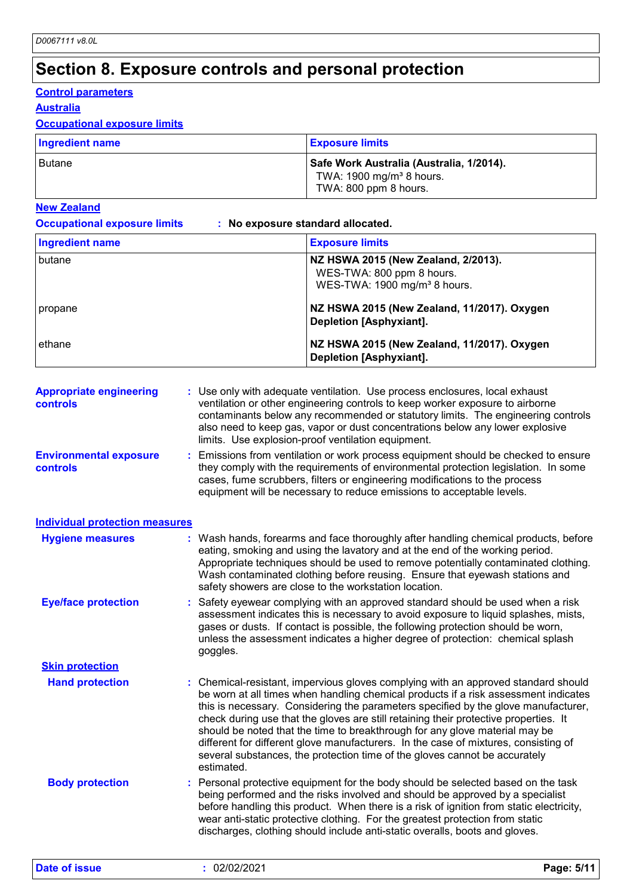# **Section 8. Exposure controls and personal protection**

#### **Control parameters**

#### **Australia**

#### **Occupational exposure limits**

| <b>Ingredient name</b> | <b>Exposure limits</b>                                                                                   |
|------------------------|----------------------------------------------------------------------------------------------------------|
| l Butane               | Safe Work Australia (Australia, 1/2014).<br>TWA: $1900 \text{ mg/m}^3$ 8 hours.<br>TWA: 800 ppm 8 hours. |

#### **New Zealand**

| <b>Occupational exposure limits</b> |  |
|-------------------------------------|--|
|-------------------------------------|--|

**Occupational exposure limits : No exposure standard allocated.**

| <b>Ingredient name</b>                            |            | <b>Exposure limits</b>                                                                                                                                                                                                                                                                                                                                                                                                                                                                                                                                                                                      |
|---------------------------------------------------|------------|-------------------------------------------------------------------------------------------------------------------------------------------------------------------------------------------------------------------------------------------------------------------------------------------------------------------------------------------------------------------------------------------------------------------------------------------------------------------------------------------------------------------------------------------------------------------------------------------------------------|
| butane                                            |            | NZ HSWA 2015 (New Zealand, 2/2013).<br>WES-TWA: 800 ppm 8 hours.<br>WES-TWA: 1900 mg/m <sup>3</sup> 8 hours.                                                                                                                                                                                                                                                                                                                                                                                                                                                                                                |
| propane                                           |            | NZ HSWA 2015 (New Zealand, 11/2017). Oxygen<br><b>Depletion [Asphyxiant].</b>                                                                                                                                                                                                                                                                                                                                                                                                                                                                                                                               |
| ethane                                            |            | NZ HSWA 2015 (New Zealand, 11/2017). Oxygen<br><b>Depletion [Asphyxiant].</b>                                                                                                                                                                                                                                                                                                                                                                                                                                                                                                                               |
| <b>Appropriate engineering</b><br><b>controls</b> |            | : Use only with adequate ventilation. Use process enclosures, local exhaust<br>ventilation or other engineering controls to keep worker exposure to airborne<br>contaminants below any recommended or statutory limits. The engineering controls<br>also need to keep gas, vapor or dust concentrations below any lower explosive<br>limits. Use explosion-proof ventilation equipment.                                                                                                                                                                                                                     |
| <b>Environmental exposure</b><br>controls         |            | Emissions from ventilation or work process equipment should be checked to ensure<br>they comply with the requirements of environmental protection legislation. In some<br>cases, fume scrubbers, filters or engineering modifications to the process<br>equipment will be necessary to reduce emissions to acceptable levels.                                                                                                                                                                                                                                                                               |
| <b>Individual protection measures</b>             |            |                                                                                                                                                                                                                                                                                                                                                                                                                                                                                                                                                                                                             |
| <b>Hygiene measures</b>                           |            | : Wash hands, forearms and face thoroughly after handling chemical products, before<br>eating, smoking and using the lavatory and at the end of the working period.<br>Appropriate techniques should be used to remove potentially contaminated clothing.<br>Wash contaminated clothing before reusing. Ensure that eyewash stations and<br>safety showers are close to the workstation location.                                                                                                                                                                                                           |
| <b>Eye/face protection</b>                        | goggles.   | Safety eyewear complying with an approved standard should be used when a risk<br>assessment indicates this is necessary to avoid exposure to liquid splashes, mists,<br>gases or dusts. If contact is possible, the following protection should be worn,<br>unless the assessment indicates a higher degree of protection: chemical splash                                                                                                                                                                                                                                                                  |
| <b>Skin protection</b>                            |            |                                                                                                                                                                                                                                                                                                                                                                                                                                                                                                                                                                                                             |
| <b>Hand protection</b>                            | estimated. | : Chemical-resistant, impervious gloves complying with an approved standard should<br>be worn at all times when handling chemical products if a risk assessment indicates<br>this is necessary. Considering the parameters specified by the glove manufacturer,<br>check during use that the gloves are still retaining their protective properties. It<br>should be noted that the time to breakthrough for any glove material may be<br>different for different glove manufacturers. In the case of mixtures, consisting of<br>several substances, the protection time of the gloves cannot be accurately |
| <b>Body protection</b>                            |            | : Personal protective equipment for the body should be selected based on the task<br>being performed and the risks involved and should be approved by a specialist<br>before handling this product. When there is a risk of ignition from static electricity,<br>wear anti-static protective clothing. For the greatest protection from static<br>discharges, clothing should include anti-static overalls, boots and gloves.                                                                                                                                                                               |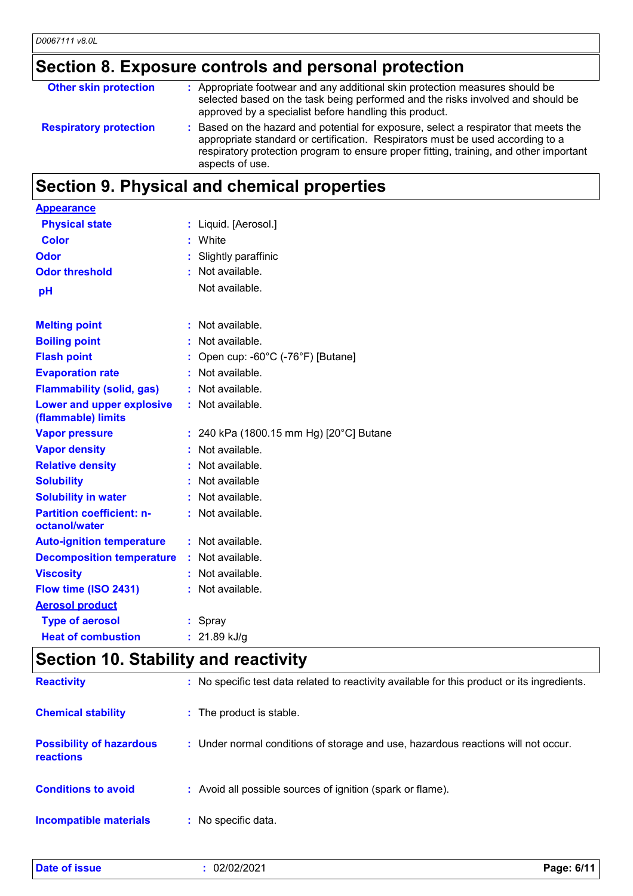### **Section 8. Exposure controls and personal protection**

| <b>Other skin protection</b>  | : Appropriate footwear and any additional skin protection measures should be<br>selected based on the task being performed and the risks involved and should be<br>approved by a specialist before handling this product.                                                         |
|-------------------------------|-----------------------------------------------------------------------------------------------------------------------------------------------------------------------------------------------------------------------------------------------------------------------------------|
| <b>Respiratory protection</b> | Based on the hazard and potential for exposure, select a respirator that meets the<br>appropriate standard or certification. Respirators must be used according to a<br>respiratory protection program to ensure proper fitting, training, and other important<br>aspects of use. |

# **Section 9. Physical and chemical properties**

| <b>Appearance</b>                                      |                                         |
|--------------------------------------------------------|-----------------------------------------|
| <b>Physical state</b>                                  | : Liquid. [Aerosol.]                    |
| <b>Color</b>                                           | White                                   |
| Odor                                                   | Slightly paraffinic                     |
| <b>Odor threshold</b>                                  | Not available.                          |
| pH                                                     | Not available.                          |
|                                                        |                                         |
| <b>Melting point</b>                                   | Not available.                          |
| <b>Boiling point</b>                                   | Not available.                          |
| <b>Flash point</b>                                     | Open cup: -60°C (-76°F) [Butane]        |
| <b>Evaporation rate</b>                                | Not available.                          |
| <b>Flammability (solid, gas)</b>                       | $:$ Not available.                      |
| <b>Lower and upper explosive</b><br>(flammable) limits | : Not available.                        |
| <b>Vapor pressure</b>                                  | : 240 kPa (1800.15 mm Hg) [20°C] Butane |
| <b>Vapor density</b>                                   | Not available.                          |
| <b>Relative density</b>                                | Not available.                          |
| <b>Solubility</b>                                      | Not available                           |
| <b>Solubility in water</b>                             | Not available.                          |
| <b>Partition coefficient: n-</b><br>octanol/water      | $:$ Not available.                      |
| <b>Auto-ignition temperature</b>                       | : Not available.                        |
| <b>Decomposition temperature</b>                       | : Not available.                        |
| <b>Viscosity</b>                                       | : Not available.                        |
| Flow time (ISO 2431)                                   | Not available.                          |
| <b>Aerosol product</b>                                 |                                         |
| <b>Type of aerosol</b>                                 | : Spray                                 |
| <b>Heat of combustion</b>                              | : $21.89$ kJ/g                          |
|                                                        |                                         |

### **Section 10. Stability and reactivity**

| <b>Reactivity</b>                            | : No specific test data related to reactivity available for this product or its ingredients. |
|----------------------------------------------|----------------------------------------------------------------------------------------------|
| <b>Chemical stability</b>                    | : The product is stable.                                                                     |
| <b>Possibility of hazardous</b><br>reactions | : Under normal conditions of storage and use, hazardous reactions will not occur.            |
| <b>Conditions to avoid</b>                   | : Avoid all possible sources of ignition (spark or flame).                                   |
| <b>Incompatible materials</b>                | : No specific data.                                                                          |

| <b>Date of issue</b> | 02/02/2021 | .6/1'<br>Page: |
|----------------------|------------|----------------|
|                      |            |                |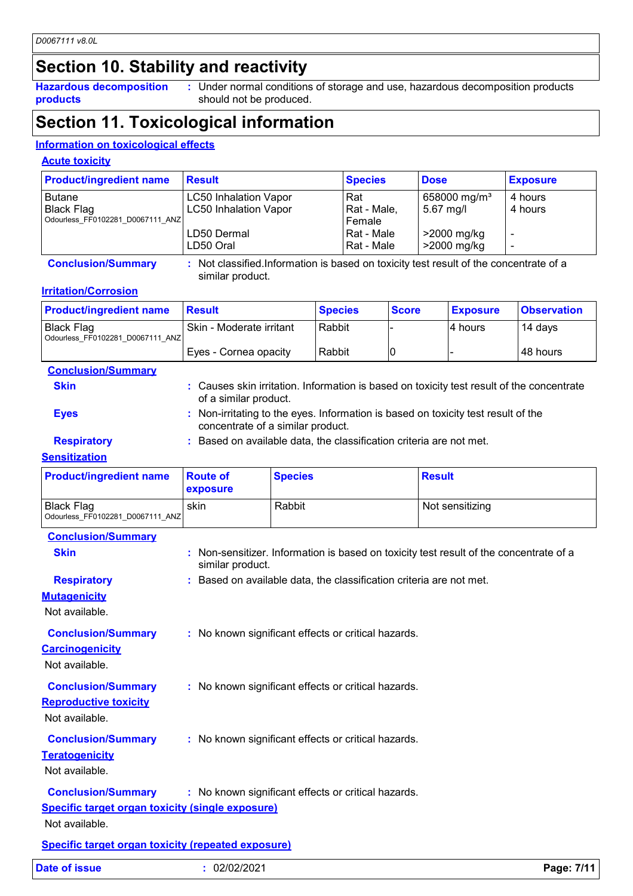### **Section 10. Stability and reactivity**

**Hazardous decomposition products**

Under normal conditions of storage and use, hazardous decomposition products **:** should not be produced.

### **Section 11. Toxicological information**

#### **Information on toxicological effects**

#### **Acute toxicity**

| <b>Product/ingredient name</b>   | <b>Result</b>                | <b>Species</b> | <b>Dose</b>              | <b>Exposure</b> |
|----------------------------------|------------------------------|----------------|--------------------------|-----------------|
| <b>Butane</b>                    | <b>LC50 Inhalation Vapor</b> | Rat            | 658000 mg/m <sup>3</sup> | 4 hours         |
| <b>Black Flag</b>                | <b>LC50 Inhalation Vapor</b> | Rat - Male,    | $5.67$ mg/l              | 4 hours         |
| Odourless FF0102281 D0067111 ANZ |                              | Female         |                          |                 |
|                                  | LD50 Dermal                  | l Rat - Male   | >2000 mg/kg              |                 |
|                                  | LD50 Oral                    | Rat - Male     | >2000 mg/kg              |                 |

**Conclusion/Summary :** Not classified.Information is based on toxicity test result of the concentrate of a similar product.

#### **Irritation/Corrosion**

| <b>Product/ingredient name</b>                 | <b>Result</b>              | <b>Species</b> | <b>Score</b> | <b>Exposure</b> | <b>Observation</b> |
|------------------------------------------------|----------------------------|----------------|--------------|-----------------|--------------------|
| Black Flag<br>Odourless FF0102281 D0067111 ANZ | l Skin - Moderate irritant | Rabbit         |              | I4 hours        | 14 days            |
|                                                | Eyes - Cornea opacity      | Rabbit         | ۱C           |                 | 48 hours           |

| <b>Conclusion/Summary</b> |                                                                                                                        |
|---------------------------|------------------------------------------------------------------------------------------------------------------------|
| <b>Skin</b>               | : Causes skin irritation. Information is based on toxicity test result of the concentrate<br>of a similar product.     |
| <b>Eves</b>               | : Non-irritating to the eyes. Information is based on toxicity test result of the<br>concentrate of a similar product. |
| <b>Respiratory</b>        | Based on available data, the classification criteria are not met.                                                      |

#### **Sensitization**

| <b>Product/ingredient name</b>                 | <b>Route of</b><br>exposure | <b>Species</b> | <b>Result</b>   |
|------------------------------------------------|-----------------------------|----------------|-----------------|
| Black Flag<br>Odourless FF0102281 D0067111 ANZ | skin                        | Rabbit         | Not sensitizing |

| Date of issue                                             | : 02/02/2021                                                                                               | Page: 7/11 |
|-----------------------------------------------------------|------------------------------------------------------------------------------------------------------------|------------|
| <b>Specific target organ toxicity (repeated exposure)</b> |                                                                                                            |            |
| Not available.                                            |                                                                                                            |            |
| <b>Specific target organ toxicity (single exposure)</b>   |                                                                                                            |            |
| <b>Conclusion/Summary</b>                                 | : No known significant effects or critical hazards.                                                        |            |
| Not available.                                            |                                                                                                            |            |
| <b>Conclusion/Summary</b><br><b>Teratogenicity</b>        | : No known significant effects or critical hazards.                                                        |            |
| <b>Reproductive toxicity</b><br>Not available.            |                                                                                                            |            |
| <b>Conclusion/Summary</b>                                 | : No known significant effects or critical hazards.                                                        |            |
| <b>Carcinogenicity</b><br>Not available.                  |                                                                                                            |            |
| <b>Conclusion/Summary</b>                                 | : No known significant effects or critical hazards.                                                        |            |
| <b>Mutagenicity</b><br>Not available.                     |                                                                                                            |            |
| <b>Respiratory</b>                                        | : Based on available data, the classification criteria are not met.                                        |            |
| <b>Skin</b>                                               | : Non-sensitizer. Information is based on toxicity test result of the concentrate of a<br>similar product. |            |
| <b>Conclusion/Summary</b>                                 |                                                                                                            |            |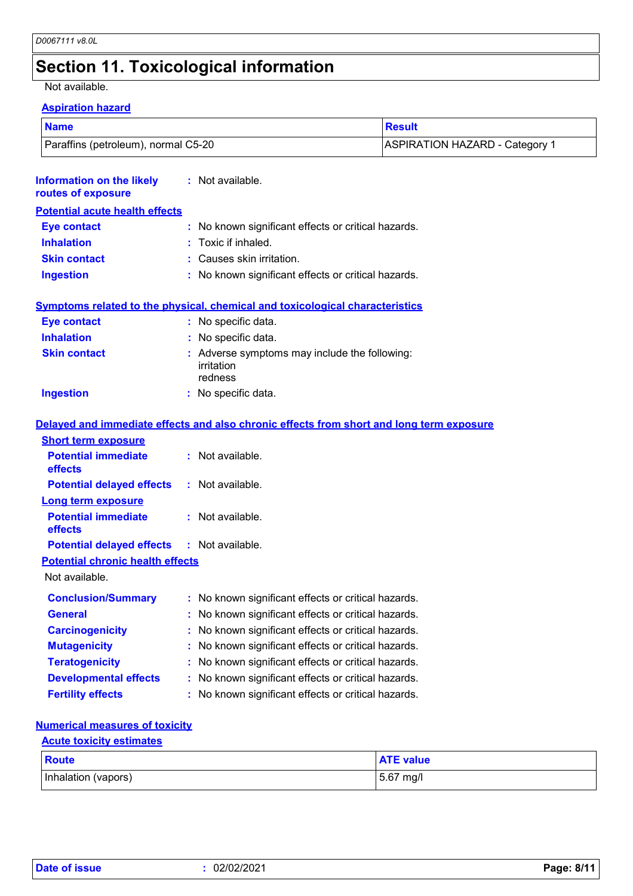# **Section 11. Toxicological information**

Not available.

#### **Aspiration hazard**

| <b>Name</b>                         | Result                                |  |
|-------------------------------------|---------------------------------------|--|
| Paraffins (petroleum), normal C5-20 | <b>ASPIRATION HAZARD - Category 1</b> |  |

| <b>Information on the likely</b><br>routes of exposure | : Not available.                                                                         |
|--------------------------------------------------------|------------------------------------------------------------------------------------------|
| <b>Potential acute health effects</b>                  |                                                                                          |
| <b>Eye contact</b>                                     | : No known significant effects or critical hazards.                                      |
| <b>Inhalation</b>                                      | : Toxic if inhaled.                                                                      |
| <b>Skin contact</b>                                    | : Causes skin irritation.                                                                |
| <b>Ingestion</b>                                       | : No known significant effects or critical hazards.                                      |
|                                                        | <b>Symptoms related to the physical, chemical and toxicological characteristics</b>      |
| <b>Eye contact</b>                                     | : No specific data.                                                                      |
| <b>Inhalation</b>                                      | : No specific data.                                                                      |
| <b>Skin contact</b>                                    | : Adverse symptoms may include the following:<br>irritation<br>redness                   |
| <b>Ingestion</b>                                       | : No specific data.                                                                      |
|                                                        | Delayed and immediate effects and also chronic effects from short and long term exposure |
| <b>Short term exposure</b>                             |                                                                                          |
| <b>Potential immediate</b><br>effects                  | : Not available.                                                                         |
| <b>Potential delayed effects</b>                       | : Not available.                                                                         |
| Long term exposure                                     |                                                                                          |
| <b>Potential immediate</b><br>effects                  | $:$ Not available.                                                                       |
| <b>Potential delayed effects</b>                       | $:$ Not available.                                                                       |
| <b>Potential chronic health effects</b>                |                                                                                          |
| Not available.                                         |                                                                                          |
| <b>Conclusion/Summary</b>                              | : No known significant effects or critical hazards.                                      |
| General                                                | No known significant effects or critical hazards.                                        |
| <b>Carcinogenicity</b>                                 | : No known significant effects or critical hazards.                                      |
| <b>Mutagenicity</b>                                    | : No known significant effects or critical hazards.                                      |
| <b>Teratogenicity</b>                                  | No known significant effects or critical hazards.                                        |
| <b>Developmental effects</b>                           | : No known significant effects or critical hazards.                                      |
| <b>Fertility effects</b>                               | : No known significant effects or critical hazards.                                      |

#### **Numerical measures of toxicity**

#### **Acute toxicity estimates**

| <b>Route</b>        | <b>ATE value</b> |
|---------------------|------------------|
| Inhalation (vapors) | 5.67 mg/l        |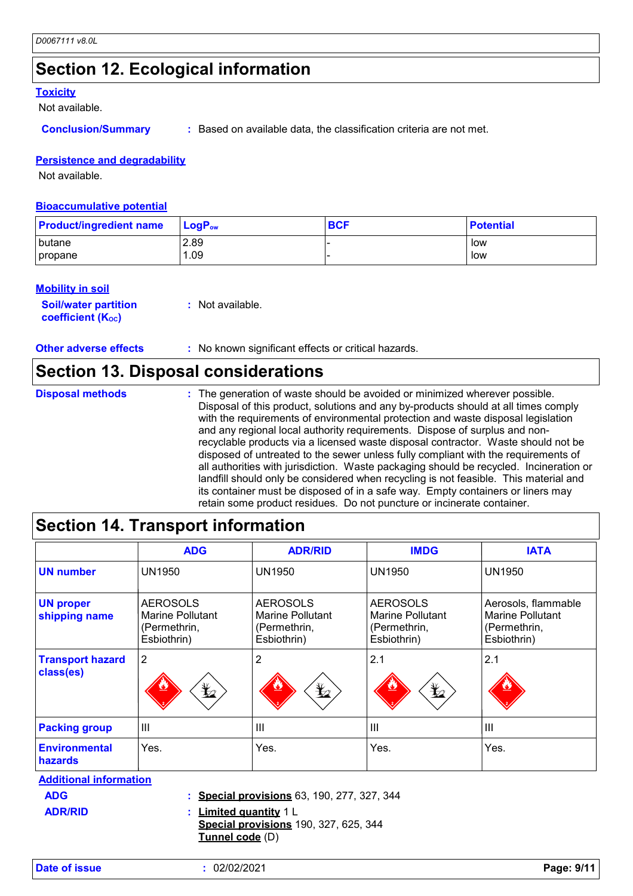### **Section 12. Ecological information**

#### **Toxicity**

Not available.

**Conclusion/Summary :** Based on available data, the classification criteria are not met.

#### **Persistence and degradability**

Not available.

#### **Bioaccumulative potential**

| <b>Product/ingredient name</b> | $\mathsf{LogP}_\mathsf{ow}$ | <b>BCF</b> | <b>Potential</b> |
|--------------------------------|-----------------------------|------------|------------------|
| butane                         | 2.89                        |            | low              |
| propane                        | .09                         |            | low              |

#### **Mobility in soil**

| <b>Soil/water partition</b> | : Not available. |
|-----------------------------|------------------|
| <b>coefficient (Koc)</b>    |                  |

| <b>Other adverse effects</b> | No known significant effects or critical hazards. |
|------------------------------|---------------------------------------------------|
|------------------------------|---------------------------------------------------|

### **Section 13. Disposal considerations**

| <b>Disposal methods</b> | : The generation of waste should be avoided or minimized wherever possible.<br>Disposal of this product, solutions and any by-products should at all times comply<br>with the requirements of environmental protection and waste disposal legislation<br>and any regional local authority requirements. Dispose of surplus and non-<br>recyclable products via a licensed waste disposal contractor. Waste should not be<br>disposed of untreated to the sewer unless fully compliant with the requirements of<br>all authorities with jurisdiction. Waste packaging should be recycled. Incineration or<br>landfill should only be considered when recycling is not feasible. This material and<br>its container must be disposed of in a safe way. Empty containers or liners may |
|-------------------------|-------------------------------------------------------------------------------------------------------------------------------------------------------------------------------------------------------------------------------------------------------------------------------------------------------------------------------------------------------------------------------------------------------------------------------------------------------------------------------------------------------------------------------------------------------------------------------------------------------------------------------------------------------------------------------------------------------------------------------------------------------------------------------------|
|                         | retain some product residues. Do not puncture or incinerate container.                                                                                                                                                                                                                                                                                                                                                                                                                                                                                                                                                                                                                                                                                                              |

### **Section 14. Transport information**

|                                        | <b>ADG</b>                                                         | <b>ADR/RID</b>                                                     | <b>IMDG</b>                                                        | <b>IATA</b>                                                            |
|----------------------------------------|--------------------------------------------------------------------|--------------------------------------------------------------------|--------------------------------------------------------------------|------------------------------------------------------------------------|
| <b>UN number</b>                       | <b>UN1950</b>                                                      | <b>UN1950</b>                                                      | <b>UN1950</b>                                                      | <b>UN1950</b>                                                          |
| <b>UN proper</b><br>shipping name      | <b>AEROSOLS</b><br>Marine Pollutant<br>(Permethrin,<br>Esbiothrin) | <b>AEROSOLS</b><br>Marine Pollutant<br>(Permethrin,<br>Esbiothrin) | <b>AEROSOLS</b><br>Marine Pollutant<br>(Permethrin,<br>Esbiothrin) | Aerosols, flammable<br>Marine Pollutant<br>(Permethrin,<br>Esbiothrin) |
| <b>Transport hazard</b><br>class(es)   | $\overline{2}$<br>$\bigstar$                                       | $\overline{2}$<br>$\bigstar$                                       | 2.1<br>$\bigstar$                                                  | 2.1                                                                    |
| <b>Packing group</b>                   | $\mathbf{III}$                                                     | $\mathbf{III}$                                                     | III                                                                | III                                                                    |
| <b>Environmental</b><br><b>hazards</b> | Yes.                                                               | Yes.                                                               | Yes.                                                               | Yes.                                                                   |
| <b>Additional information</b>          |                                                                    |                                                                    |                                                                    |                                                                        |

**ADR/RID**

**ADG Special provisions** 63, 190, 277, 327, 344 **:**

**Limited quantity** 1 L **:**

**Special provisions** 190, 327, 625, 344 **Tunnel code** (D)

**Date of issue :** 02/02/2021 **Page: 9/11**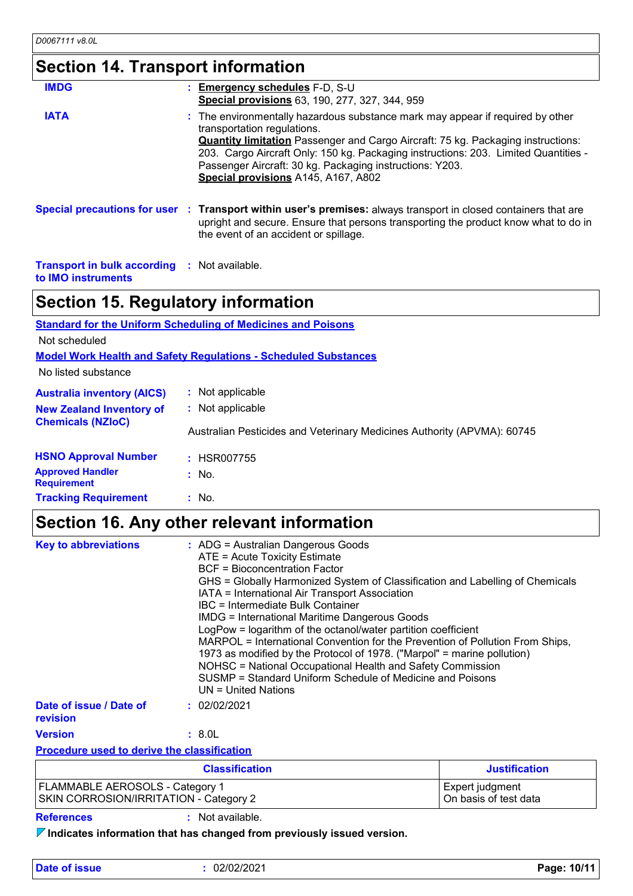# **Section 14. Transport information**

| <b>IMDG</b> | : Emergency schedules F-D, S-U<br>Special provisions 63, 190, 277, 327, 344, 959                                                                                                                                                                                                                                                                                                                   |
|-------------|----------------------------------------------------------------------------------------------------------------------------------------------------------------------------------------------------------------------------------------------------------------------------------------------------------------------------------------------------------------------------------------------------|
| <b>IATA</b> | : The environmentally hazardous substance mark may appear if required by other<br>transportation regulations.<br><b>Quantity limitation</b> Passenger and Cargo Aircraft: 75 kg. Packaging instructions:<br>203. Cargo Aircraft Only: 150 kg. Packaging instructions: 203. Limited Quantities -<br>Passenger Aircraft: 30 kg. Packaging instructions: Y203.<br>Special provisions A145, A167, A802 |
|             | Special precautions for user : Transport within user's premises: always transport in closed containers that are<br>upright and secure. Ensure that persons transporting the product know what to do in<br>the event of an accident or spillage.                                                                                                                                                    |

**Transport in bulk according :** Not available. **to IMO instruments**

# **Section 15. Regulatory information**

|                                               | <b>Standard for the Uniform Scheduling of Medicines and Poisons</b>     |
|-----------------------------------------------|-------------------------------------------------------------------------|
| Not scheduled                                 |                                                                         |
|                                               | <b>Model Work Health and Safety Regulations - Scheduled Substances</b>  |
| No listed substance                           |                                                                         |
| <b>Australia inventory (AICS)</b>             | : Not applicable                                                        |
| <b>New Zealand Inventory of</b>               | : Not applicable                                                        |
| <b>Chemicals (NZIoC)</b>                      | Australian Pesticides and Veterinary Medicines Authority (APVMA): 60745 |
| <b>HSNO Approval Number</b>                   | $:$ HSR007755                                                           |
| <b>Approved Handler</b><br><b>Requirement</b> | $:$ No.                                                                 |
| <b>Tracking Requirement</b>                   | $:$ No.                                                                 |

### **Section 16. Any other relevant information**

| <b>Key to abbreviations</b>         | : ADG = Australian Dangerous Goods<br>ATE = Acute Toxicity Estimate<br><b>BCF</b> = Bioconcentration Factor<br>GHS = Globally Harmonized System of Classification and Labelling of Chemicals<br>IATA = International Air Transport Association<br>IBC = Intermediate Bulk Container<br><b>IMDG = International Maritime Dangerous Goods</b><br>LogPow = logarithm of the octanol/water partition coefficient<br>MARPOL = International Convention for the Prevention of Pollution From Ships,<br>1973 as modified by the Protocol of 1978. ("Marpol" = marine pollution)<br>NOHSC = National Occupational Health and Safety Commission<br>SUSMP = Standard Uniform Schedule of Medicine and Poisons<br>UN = United Nations |
|-------------------------------------|----------------------------------------------------------------------------------------------------------------------------------------------------------------------------------------------------------------------------------------------------------------------------------------------------------------------------------------------------------------------------------------------------------------------------------------------------------------------------------------------------------------------------------------------------------------------------------------------------------------------------------------------------------------------------------------------------------------------------|
| Date of issue / Date of<br>revision | : 02/02/2021                                                                                                                                                                                                                                                                                                                                                                                                                                                                                                                                                                                                                                                                                                               |
| <b>Version</b>                      | : 8.0L                                                                                                                                                                                                                                                                                                                                                                                                                                                                                                                                                                                                                                                                                                                     |

**Procedure used to derive the classification**

| <b>Classification</b>                  | <b>Justification</b>  |
|----------------------------------------|-----------------------|
| FLAMMABLE AEROSOLS - Category 1        | Expert judgment       |
| SKIN CORROSION/IRRITATION - Category 2 | On basis of test data |

**References :** Not available.

**Indicates information that has changed from previously issued version.**

**Date of issue :** 02/02/2021 **Page: 10/11**